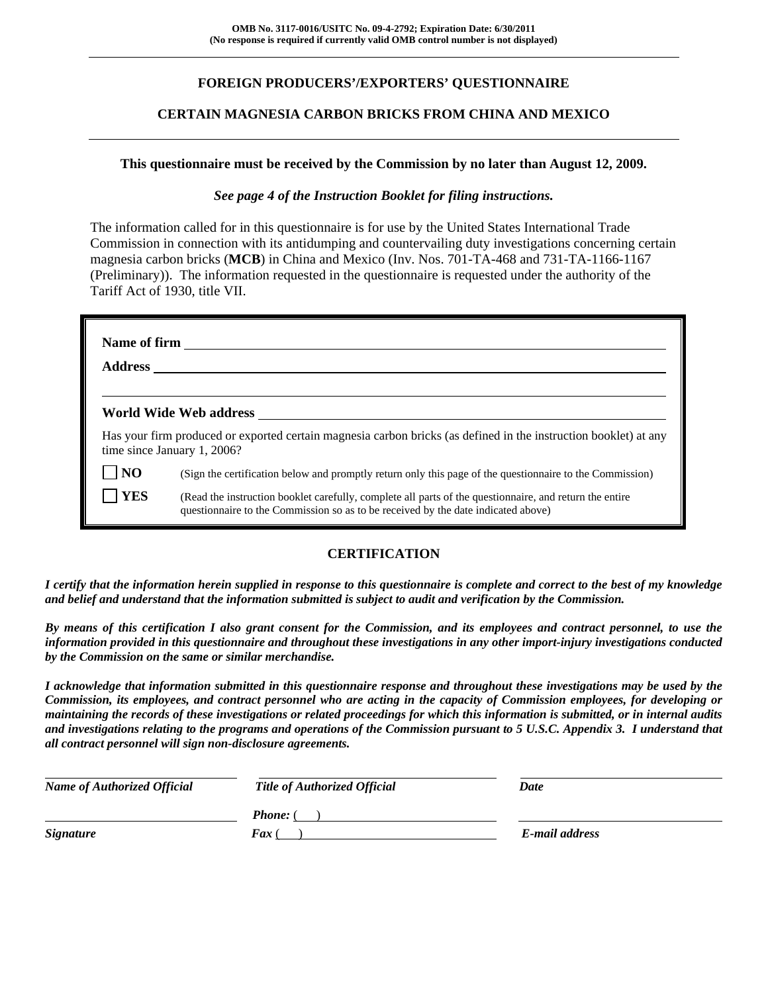## **FOREIGN PRODUCERS'/EXPORTERS' QUESTIONNAIRE**

#### **CERTAIN MAGNESIA CARBON BRICKS FROM CHINA AND MEXICO**

#### **This questionnaire must be received by the Commission by no later than August 12, 2009.**

#### *See page 4 of the Instruction Booklet for filing instructions.*

The information called for in this questionnaire is for use by the United States International Trade Commission in connection with its antidumping and countervailing duty investigations concerning certain magnesia carbon bricks (**MCB**) in China and Mexico (Inv. Nos. 701-TA-468 and 731-TA-1166-1167 (Preliminary)). The information requested in the questionnaire is requested under the authority of the Tariff Act of 1930, title VII.

|                | World Wide Web address                                                                                                                                                                       |
|----------------|----------------------------------------------------------------------------------------------------------------------------------------------------------------------------------------------|
|                | Has your firm produced or exported certain magnesia carbon bricks (as defined in the instruction booklet) at any<br>time since January 1, 2006?                                              |
| $\overline{N}$ | (Sign the certification below and promptly return only this page of the questionnaire to the Commission)                                                                                     |
| <b>YES</b>     | (Read the instruction booklet carefully, complete all parts of the questionnaire, and return the entire<br>questionnaire to the Commission so as to be received by the date indicated above) |

### **CERTIFICATION**

*I certify that the information herein supplied in response to this questionnaire is complete and correct to the best of my knowledge and belief and understand that the information submitted is subject to audit and verification by the Commission.* 

*By means of this certification I also grant consent for the Commission, and its employees and contract personnel, to use the information provided in this questionnaire and throughout these investigations in any other import-injury investigations conducted by the Commission on the same or similar merchandise.* 

*I acknowledge that information submitted in this questionnaire response and throughout these investigations may be used by the Commission, its employees, and contract personnel who are acting in the capacity of Commission employees, for developing or maintaining the records of these investigations or related proceedings for which this information is submitted, or in internal audits and investigations relating to the programs and operations of the Commission pursuant to 5 U.S.C. Appendix 3. I understand that all contract personnel will sign non-disclosure agreements.* 

| <b>Name of Authorized Official</b> | Title of Authorized Official | Date           |
|------------------------------------|------------------------------|----------------|
|                                    | <b>Phone:</b> (              |                |
| <b>Signature</b>                   | <b>Fax</b> (                 | E-mail address |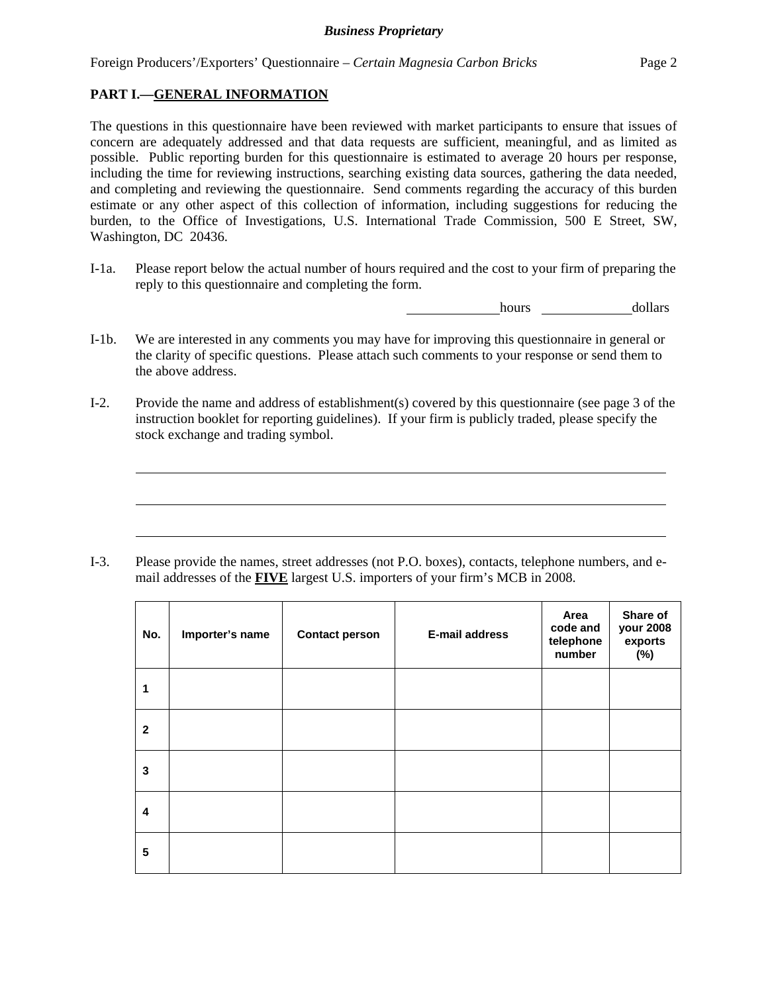#### **PART I.—GENERAL INFORMATION**

 $\overline{a}$ 

 $\overline{a}$ 

 $\overline{a}$ 

The questions in this questionnaire have been reviewed with market participants to ensure that issues of concern are adequately addressed and that data requests are sufficient, meaningful, and as limited as possible. Public reporting burden for this questionnaire is estimated to average 20 hours per response, including the time for reviewing instructions, searching existing data sources, gathering the data needed, and completing and reviewing the questionnaire. Send comments regarding the accuracy of this burden estimate or any other aspect of this collection of information, including suggestions for reducing the burden, to the Office of Investigations, U.S. International Trade Commission, 500 E Street, SW, Washington, DC 20436.

I-1a. Please report below the actual number of hours required and the cost to your firm of preparing the reply to this questionnaire and completing the form.

hours dollars

- I-1b. We are interested in any comments you may have for improving this questionnaire in general or the clarity of specific questions. Please attach such comments to your response or send them to the above address.
- I-2. Provide the name and address of establishment(s) covered by this questionnaire (see page 3 of the instruction booklet for reporting guidelines). If your firm is publicly traded, please specify the stock exchange and trading symbol.

I-3. Please provide the names, street addresses (not P.O. boxes), contacts, telephone numbers, and email addresses of the **FIVE** largest U.S. importers of your firm's MCB in 2008.

| No.          | Importer's name | <b>Contact person</b> | <b>E-mail address</b> | Area<br>code and<br>telephone<br>number | Share of<br>your 2008<br>exports<br>(%) |
|--------------|-----------------|-----------------------|-----------------------|-----------------------------------------|-----------------------------------------|
| 1            |                 |                       |                       |                                         |                                         |
| $\mathbf{2}$ |                 |                       |                       |                                         |                                         |
| 3            |                 |                       |                       |                                         |                                         |
| 4            |                 |                       |                       |                                         |                                         |
| 5            |                 |                       |                       |                                         |                                         |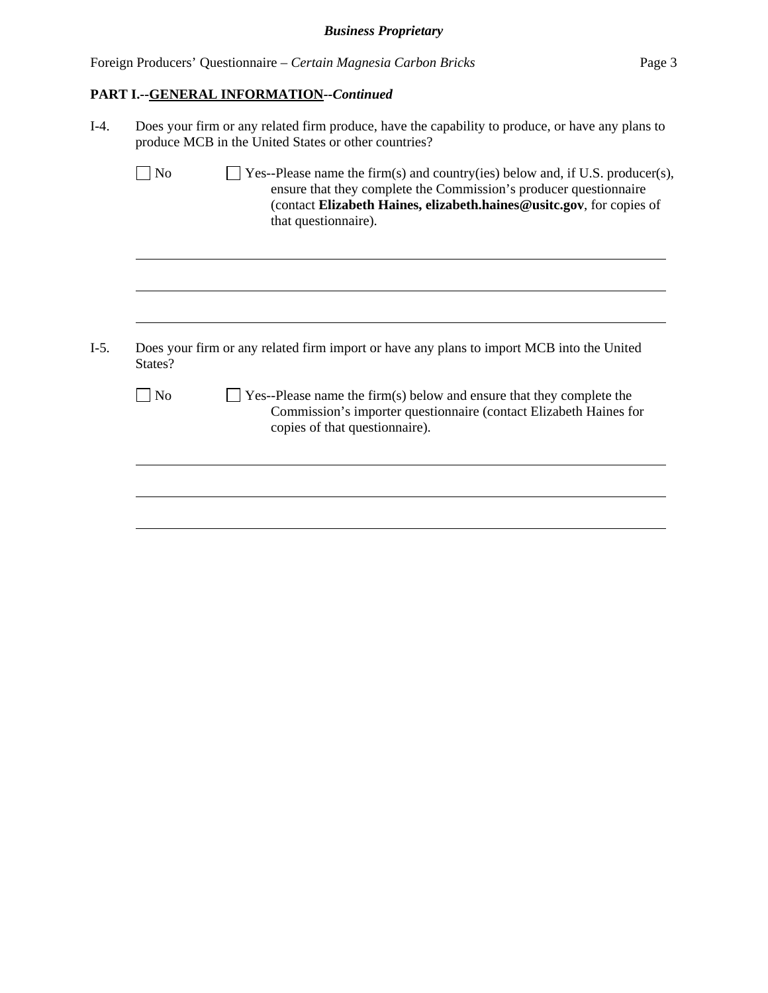|  | Foreign Producers' Questionnaire – Certain Magnesia Carbon Bricks | Page 3 |
|--|-------------------------------------------------------------------|--------|
|  |                                                                   |        |

# **PART I.--GENERAL INFORMATION***--Continued*

| $I-4.$ | Does your firm or any related firm produce, have the capability to produce, or have any plans to<br>produce MCB in the United States or other countries? |                                                                                                                                                                                                                                                    |  |  |  |  |
|--------|----------------------------------------------------------------------------------------------------------------------------------------------------------|----------------------------------------------------------------------------------------------------------------------------------------------------------------------------------------------------------------------------------------------------|--|--|--|--|
|        | $\log$                                                                                                                                                   | Yes--Please name the firm(s) and country(ies) below and, if U.S. producer(s),<br>ensure that they complete the Commission's producer questionnaire<br>(contact Elizabeth Haines, elizabeth.haines@usitc.gov, for copies of<br>that questionnaire). |  |  |  |  |
| $I-5.$ |                                                                                                                                                          | Does your firm or any related firm import or have any plans to import MCB into the United                                                                                                                                                          |  |  |  |  |
|        | States?                                                                                                                                                  |                                                                                                                                                                                                                                                    |  |  |  |  |
|        | $\log$                                                                                                                                                   | Yes--Please name the firm(s) below and ensure that they complete the<br>Commission's importer questionnaire (contact Elizabeth Haines for<br>copies of that questionnaire).                                                                        |  |  |  |  |
|        |                                                                                                                                                          |                                                                                                                                                                                                                                                    |  |  |  |  |
|        |                                                                                                                                                          |                                                                                                                                                                                                                                                    |  |  |  |  |
|        |                                                                                                                                                          |                                                                                                                                                                                                                                                    |  |  |  |  |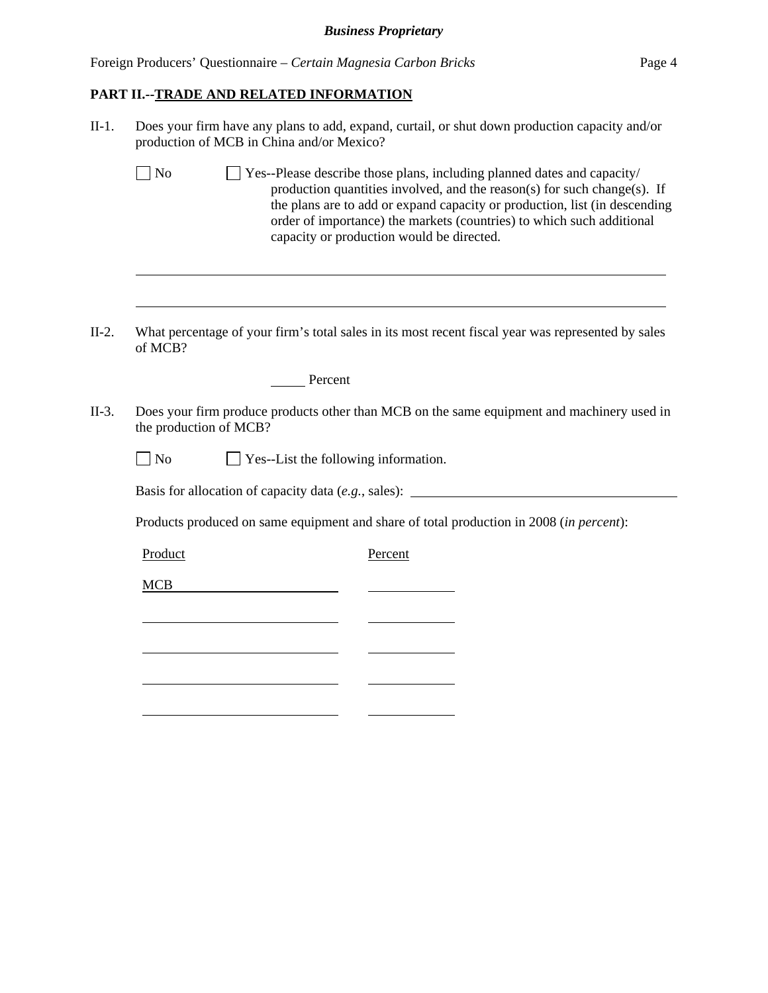Foreign Producers' Questionnaire – *Certain Magnesia Carbon Bricks* Page 4

# **PART II.--TRADE AND RELATED INFORMATION**

l

| $II-1.$ | Does your firm have any plans to add, expand, curtail, or shut down production capacity and/or<br>production of MCB in China and/or Mexico?                                                                                                                                                                                                                                  |  |  |  |  |
|---------|------------------------------------------------------------------------------------------------------------------------------------------------------------------------------------------------------------------------------------------------------------------------------------------------------------------------------------------------------------------------------|--|--|--|--|
|         | $\Box$ No<br>$\perp$ Yes--Please describe those plans, including planned dates and capacity/<br>production quantities involved, and the reason(s) for such change(s). If<br>the plans are to add or expand capacity or production, list (in descending<br>order of importance) the markets (countries) to which such additional<br>capacity or production would be directed. |  |  |  |  |
|         |                                                                                                                                                                                                                                                                                                                                                                              |  |  |  |  |
| $II-2.$ | What percentage of your firm's total sales in its most recent fiscal year was represented by sales<br>of MCB?                                                                                                                                                                                                                                                                |  |  |  |  |
|         | Percent                                                                                                                                                                                                                                                                                                                                                                      |  |  |  |  |
| $II-3.$ | Does your firm produce products other than MCB on the same equipment and machinery used in<br>the production of MCB?                                                                                                                                                                                                                                                         |  |  |  |  |
|         | $\Box$ Yes--List the following information.<br>$\neg$ No                                                                                                                                                                                                                                                                                                                     |  |  |  |  |
|         | Basis for allocation of capacity data (e.g., sales): ____________________________                                                                                                                                                                                                                                                                                            |  |  |  |  |
|         | Products produced on same equipment and share of total production in 2008 (in percent):                                                                                                                                                                                                                                                                                      |  |  |  |  |
|         | Product<br>Percent                                                                                                                                                                                                                                                                                                                                                           |  |  |  |  |
|         | <b>MCB</b>                                                                                                                                                                                                                                                                                                                                                                   |  |  |  |  |
|         |                                                                                                                                                                                                                                                                                                                                                                              |  |  |  |  |
|         |                                                                                                                                                                                                                                                                                                                                                                              |  |  |  |  |
|         |                                                                                                                                                                                                                                                                                                                                                                              |  |  |  |  |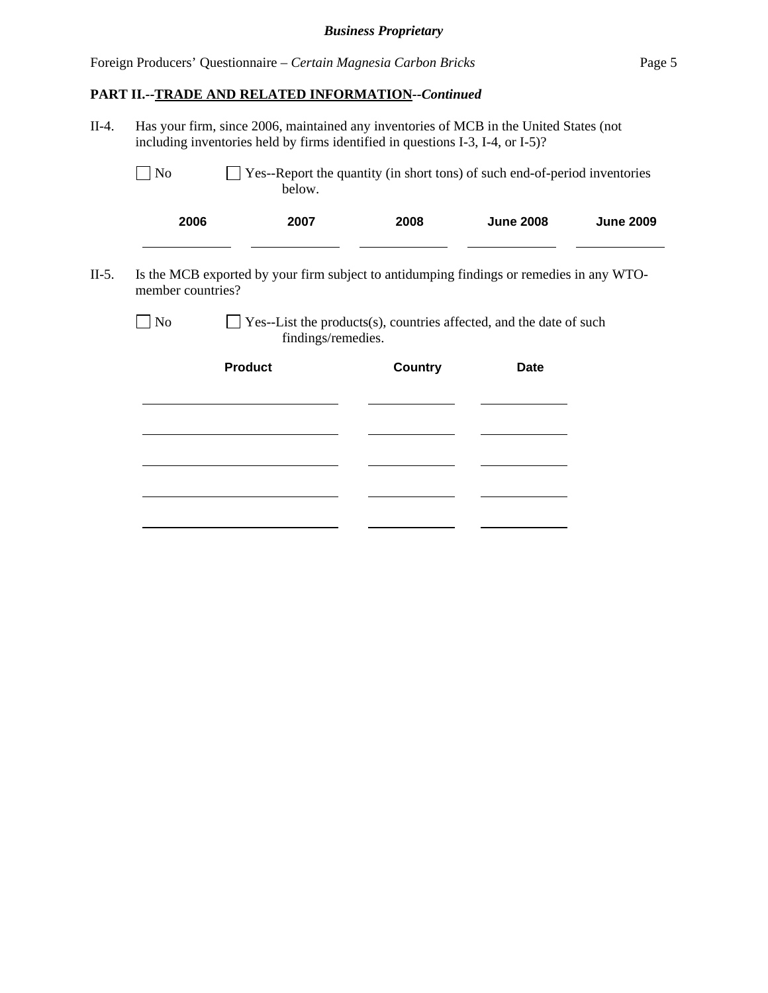# **PART II.--TRADE AND RELATED INFORMATION***--Continued*

l

| $II-4.$ | Has your firm, since 2006, maintained any inventories of MCB in the United States (not<br>including inventories held by firms identified in questions I-3, I-4, or I-5)? |                                                                                           |                |                  |                  |  |  |  |  |
|---------|--------------------------------------------------------------------------------------------------------------------------------------------------------------------------|-------------------------------------------------------------------------------------------|----------------|------------------|------------------|--|--|--|--|
|         | Yes--Report the quantity (in short tons) of such end-of-period inventories<br>N <sub>0</sub><br>below.                                                                   |                                                                                           |                |                  |                  |  |  |  |  |
|         | 2006                                                                                                                                                                     | 2007                                                                                      | 2008           | <b>June 2008</b> | <b>June 2009</b> |  |  |  |  |
| $II-5.$ | Is the MCB exported by your firm subject to antidumping findings or remedies in any WTO-<br>member countries?                                                            |                                                                                           |                |                  |                  |  |  |  |  |
|         | N <sub>o</sub>                                                                                                                                                           | Yes--List the products(s), countries affected, and the date of such<br>findings/remedies. |                |                  |                  |  |  |  |  |
|         |                                                                                                                                                                          | <b>Product</b>                                                                            | <b>Country</b> | <b>Date</b>      |                  |  |  |  |  |
|         |                                                                                                                                                                          |                                                                                           |                |                  |                  |  |  |  |  |
|         |                                                                                                                                                                          |                                                                                           |                |                  |                  |  |  |  |  |
|         |                                                                                                                                                                          |                                                                                           |                |                  |                  |  |  |  |  |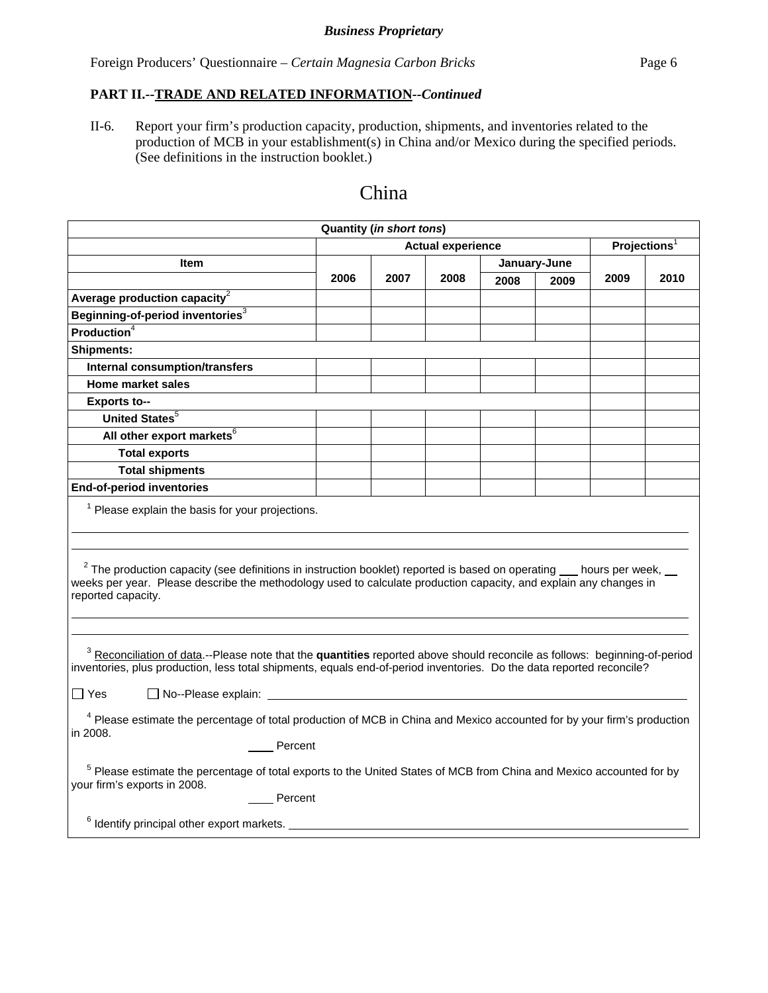Foreign Producers' Questionnaire – *Certain Magnesia Carbon Bricks* Page 6

## **PART II.--TRADE AND RELATED INFORMATION***--Continued*

II-6. Report your firm's production capacity, production, shipments, and inventories related to the production of MCB in your establishment(s) in China and/or Mexico during the specified periods. (See definitions in the instruction booklet.)

| <b>Quantity (in short tons)</b>                                                                                                                                                                                                                                                                                                                                                                                                              |                                                                                                                                                                                                                                                                                                              |      |      |                          |      |      |      |  |
|----------------------------------------------------------------------------------------------------------------------------------------------------------------------------------------------------------------------------------------------------------------------------------------------------------------------------------------------------------------------------------------------------------------------------------------------|--------------------------------------------------------------------------------------------------------------------------------------------------------------------------------------------------------------------------------------------------------------------------------------------------------------|------|------|--------------------------|------|------|------|--|
|                                                                                                                                                                                                                                                                                                                                                                                                                                              | <b>Actual experience</b>                                                                                                                                                                                                                                                                                     |      |      | Projections <sup>1</sup> |      |      |      |  |
| Item                                                                                                                                                                                                                                                                                                                                                                                                                                         |                                                                                                                                                                                                                                                                                                              |      |      | January-June             |      |      |      |  |
|                                                                                                                                                                                                                                                                                                                                                                                                                                              | 2006                                                                                                                                                                                                                                                                                                         | 2007 | 2008 | 2008                     | 2009 | 2009 | 2010 |  |
| Average production capacity <sup>2</sup>                                                                                                                                                                                                                                                                                                                                                                                                     |                                                                                                                                                                                                                                                                                                              |      |      |                          |      |      |      |  |
| Beginning-of-period inventories <sup>3</sup>                                                                                                                                                                                                                                                                                                                                                                                                 |                                                                                                                                                                                                                                                                                                              |      |      |                          |      |      |      |  |
| Production $\overline{4}$                                                                                                                                                                                                                                                                                                                                                                                                                    |                                                                                                                                                                                                                                                                                                              |      |      |                          |      |      |      |  |
| <b>Shipments:</b>                                                                                                                                                                                                                                                                                                                                                                                                                            |                                                                                                                                                                                                                                                                                                              |      |      |                          |      |      |      |  |
| <b>Internal consumption/transfers</b>                                                                                                                                                                                                                                                                                                                                                                                                        |                                                                                                                                                                                                                                                                                                              |      |      |                          |      |      |      |  |
| <b>Home market sales</b>                                                                                                                                                                                                                                                                                                                                                                                                                     |                                                                                                                                                                                                                                                                                                              |      |      |                          |      |      |      |  |
| Exports to--                                                                                                                                                                                                                                                                                                                                                                                                                                 |                                                                                                                                                                                                                                                                                                              |      |      |                          |      |      |      |  |
| <b>United States</b> <sup>5</sup>                                                                                                                                                                                                                                                                                                                                                                                                            |                                                                                                                                                                                                                                                                                                              |      |      |                          |      |      |      |  |
| All other export markets <sup>6</sup>                                                                                                                                                                                                                                                                                                                                                                                                        |                                                                                                                                                                                                                                                                                                              |      |      |                          |      |      |      |  |
| <b>Total exports</b>                                                                                                                                                                                                                                                                                                                                                                                                                         |                                                                                                                                                                                                                                                                                                              |      |      |                          |      |      |      |  |
| <b>Total shipments</b>                                                                                                                                                                                                                                                                                                                                                                                                                       |                                                                                                                                                                                                                                                                                                              |      |      |                          |      |      |      |  |
| <b>End-of-period inventories</b>                                                                                                                                                                                                                                                                                                                                                                                                             |                                                                                                                                                                                                                                                                                                              |      |      |                          |      |      |      |  |
| reported capacity.                                                                                                                                                                                                                                                                                                                                                                                                                           | $1$ Please explain the basis for your projections.<br>$2$ The production capacity (see definitions in instruction booklet) reported is based on operating $\_\_$ hours per week, $\_\_$<br>weeks per year. Please describe the methodology used to calculate production capacity, and explain any changes in |      |      |                          |      |      |      |  |
| <sup>3</sup> Reconciliation of data.--Please note that the quantities reported above should reconcile as follows: beginning-of-period<br>inventories, plus production, less total shipments, equals end-of-period inventories. Do the data reported reconcile?<br>$\Box$ No--Please explain:<br>l IYes<br><sup>4</sup> Please estimate the percentage of total production of MCB in China and Mexico accounted for by your firm's production |                                                                                                                                                                                                                                                                                                              |      |      |                          |      |      |      |  |
| in 2008.                                                                                                                                                                                                                                                                                                                                                                                                                                     |                                                                                                                                                                                                                                                                                                              |      |      |                          |      |      |      |  |
| Percent<br><sup>5</sup> Please estimate the percentage of total exports to the United States of MCB from China and Mexico accounted for by<br>your firm's exports in 2008.<br>Percent<br><sup>6</sup> Identify principal other export markets.                                                                                                                                                                                               |                                                                                                                                                                                                                                                                                                              |      |      |                          |      |      |      |  |

# China